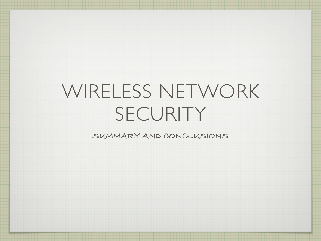# WIRELESS NETWORK SECURITY

**SUMMARY AND CONCLUSIONS**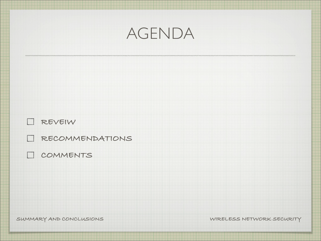| AGENDA                                        |                           |
|-----------------------------------------------|---------------------------|
|                                               |                           |
| $\Box$ REVEIW                                 |                           |
| <b>I RECOMMENDATIONS</b><br><b>I COMMENTS</b> |                           |
| SUMMARY AND CONCLUSIONS                       | WIRELESS NETWORK SECURITY |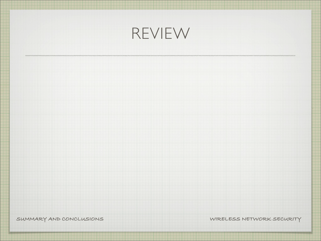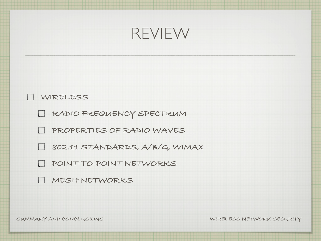

#### **WIRELESS**

**RADIO FREQUENCY SPECTRUM**

**PROPERTIES OF RADIO WAVES**

**802.11 STANDARDS, A/B/G, WIMAX**

**POINT-TO-POINT NETWORKS**

**MESH NETWORKS**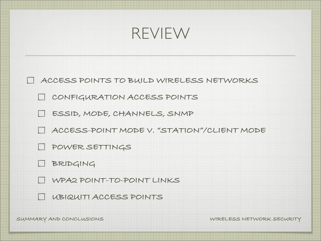#### REVIEW

**ACCESS POINTS TO BUILD WIRELESS NETWORKS**

**CONFIGURATION ACCESS POINTS**

**ESSID, MODE, CHANNELS, SNMP**

**ACCESS-POINT MODE V. "STATION"/CLIENT MODE**

**POWER SETTINGS**

**BRIDGING**

**WPA2 POINT-TO-POINT LINKS**

**UBIQUITI ACCESS POINTS**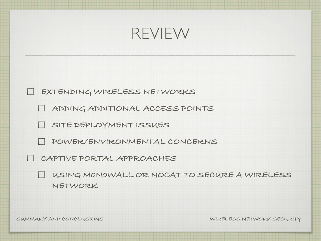

**EXTENDING WIRELESS NETWORKS**

**ADDING ADDITIONAL ACCESS POINTS**

**SITE DEPLOYMENT ISSUES**

**POWER/ENVIRONMENTAL CONCERNS**

**CAPTIVE PORTAL APPROACHES**

**USING M0N0WALL OR NOCAT TO SECURE A WIRELESS**   $\vert$ **NETWORK**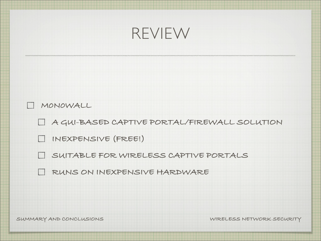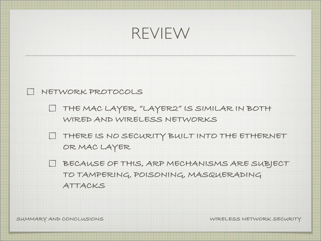



- **THE MAC LAYER, "LAYER2" IS SIMILAR IN BOTH**   $\Box$ **WIRED AND WIRELESS NETWORKS**
- **THERE IS NO SECURITY BUILT INTO THE ETHERNET**   $\begin{array}{c} \boxed{1} \end{array}$ **OR MAC LAYER**
- **BECAUSE OF THIS, ARP MECHANISMS ARE SUBJECT TO TAMPERING, POISONING, MASQUERADING ATTACKS**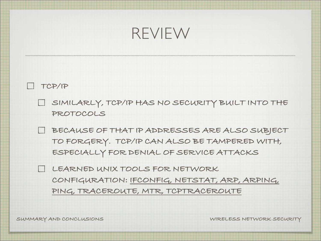#### REVIEW

**TCP/IP**

- **SIMILARLY, TCP/IP HAS NO SECURITY BUILT INTO THE PROTOCOLS**
- **BECAUSE OF THAT IP ADDRESSES ARE ALSO SUBJECT TO FORGERY. TCP/IP CAN ALSO BE TAMPERED WITH, ESPECIALLY FOR DENIAL OF SERVICE ATTACKS**
- **LEARNED UNIX TOOLS FOR NETWORK CONFIGURATION: IFCONFIG, NETSTAT, ARP, ARPING, PING, TRACEROUTE, MTR, TCPTRACEROUTE**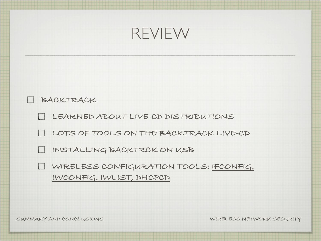

| BACKTRACK                                                             |
|-----------------------------------------------------------------------|
| LEARNED ABOUT LIVE-CD DISTRIBUTIONS                                   |
| LI LOTS OF TOOLS ON THE BACKTRACK LIVE-CD                             |
| I INSTALLING BACKTRCK ON USB                                          |
| U WIRELESS CONFIGURATION TOOLS: IFCONFIG,<br>IWCONFIG, IWLIST, DHCPCD |
|                                                                       |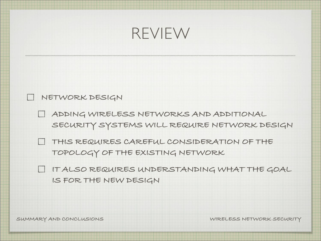



- **ADDING WIRELESS NETWORKS AND ADDITIONAL SECURITY SYSTEMS WILL REQUIRE NETWORK DESIGN**
- **THIS REQUIRES CAREFUL CONSIDERATION OF THE TOPOLOGY OF THE EXISTING NETWORK**
- **IT ALSO REQUIRES UNDERSTANDING WHAT THE GOAL IS FOR THE NEW DESIGN**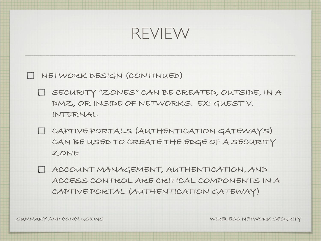#### REVIEW

**NETWORK DESIGN (CONTINUED)**

- **SECURITY "ZONES" CAN BE CREATED, OUTSIDE, IN A DMZ, OR INSIDE OF NETWORKS. EX: GUEST V. INTERNAL**
- **CAPTIVE PORTALS (AUTHENTICATION GATEWAYS) CAN BE USED TO CREATE THE EDGE OF A SECURITY ZONE**
- **ACCOUNT MANAGEMENT, AUTHENTICATION, AND ACCESS CONTROL ARE CRITICAL COMPONENTS IN A CAPTIVE PORTAL (AUTHENTICATION GATEWAY)**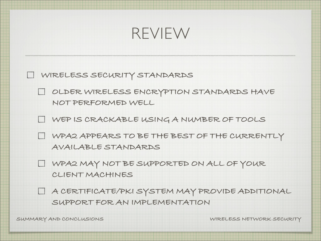

**WIRELESS SECURITY STANDARDS**

**OLDER WIRELESS ENCRYPTION STANDARDS HAVE NOT PERFORMED WELL**

**WEP IS CRACKABLE USING A NUMBER OF TOOLS**

- **WPA2 APPEARS TO BE THE BEST OF THE CURRENTLY AVAILABLE STANDARDS**
- **WPA2 MAY NOT BE SUPPORTED ON ALL OF YOUR CLIENT MACHINES**
- **A CERTIFICATE/PKI SYSTEM MAY PROVIDE ADDITIONAL SUPPORT FOR AN IMPLEMENTATION**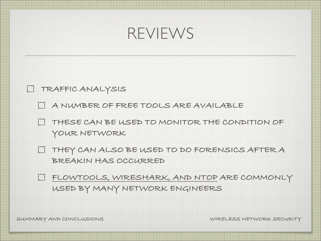



**A NUMBER OF FREE TOOLS ARE AVAILABLE**

**THESE CAN BE USED TO MONITOR THE CONDITION OF YOUR NETWORK**

**THEY CAN ALSO BE USED TO DO FORENSICS AFTER A BREAKIN HAS OCCURRED**

**FLOWTOOLS, WIRESHARK, AND NTOP ARE COMMONLY USED BY MANY NETWORK ENGINEERS**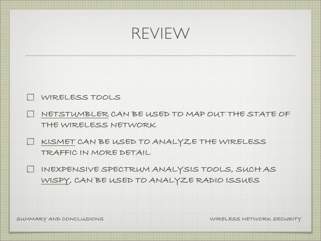



- **NETSTUMBLER CAN BE USED TO MAP OUT THE STATE OF THE WIRELESS NETWORK**
- **KISMET CAN BE USED TO ANALYZE THE WIRELESS TRAFFIC IN MORE DETAIL**
- **INEXPENSIVE SPECTRUM ANALYSIS TOOLS, SUCH AS WISPY, CAN BE USED TO ANALYZE RADIO ISSUES**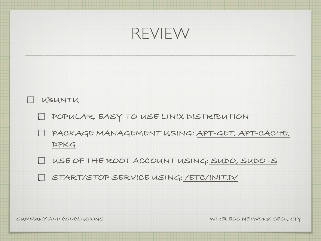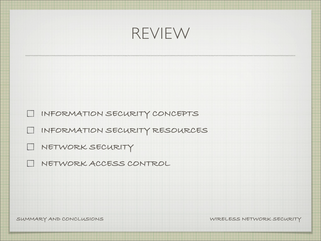| REVIEW                                                                          |  |
|---------------------------------------------------------------------------------|--|
|                                                                                 |  |
| I INFORMATION SECURITY CONCEPTS                                                 |  |
| I INFORMATION SECURITY RESOURCES<br>NETWORK SECURITY                            |  |
| NETWORK ACCESS CONTROL<br>$\begin{array}{c} \boxed{1} \\ \boxed{1} \end{array}$ |  |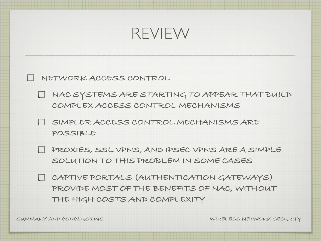

**NETWORK ACCESS CONTROL**

**NAC SYSTEMS ARE STARTING TO APPEAR THAT BUILD COMPLEX ACCESS CONTROL MECHANISMS**

**SIMPLER ACCESS CONTROL MECHANISMS ARE POSSIBLE**

**PROXIES, SSL VPNS, AND IPSEC VPNS ARE A SIMPLE SOLUTION TO THIS PROBLEM IN SOME CASES**

**CAPTIVE PORTALS (AUTHENTICATION GATEWAYS) PROVIDE MOST OF THE BENEFITS OF NAC, WITHOUT THE HIGH COSTS AND COMPLEXITY**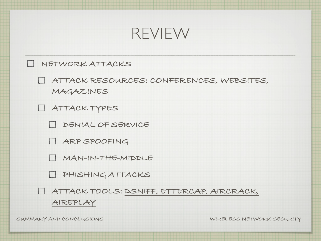## REVIEW **NETWORK ATTACKS ATTACK RESOURCES: CONFERENCES, WEBSITES, MAGAZINES ATTACK TYPES DENIAL OF SERVICE ARP SPOOFING MAN-IN-THE-MIDDLE PHISHING ATTACKS ATTACK TOOLS: DSNIFF, ETTERCAP, AIRCRACK, AIREPLAY**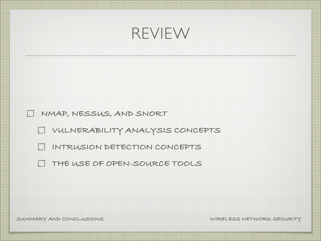| REVIEW                                                                                       |  |
|----------------------------------------------------------------------------------------------|--|
|                                                                                              |  |
| NMAP, NESSUS, AND SNORT<br>I VULNERABILITY ANALYSIS CONCEPTS<br>INTRUSION DETECTION CONCEPTS |  |
| THE USE OF OPEN-SOURCE TOOLS                                                                 |  |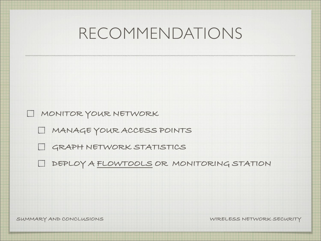**MONITOR YOUR NETWORK**

**MANAGE YOUR ACCESS POINTS**

**GRAPH NETWORK STATISTICS**

**DEPLOY A FLOWTOOLS OR MONITORING STATION**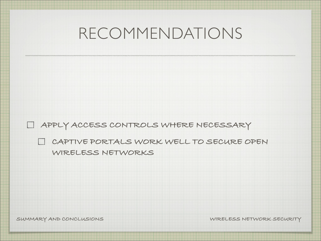**APPLY ACCESS CONTROLS WHERE NECESSARY**

**CAPTIVE PORTALS WORK WELL TO SECURE OPEN WIRELESS NETWORKS**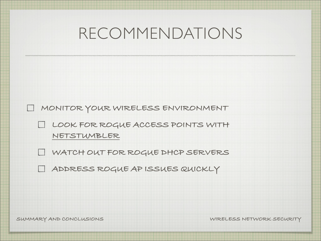**MONITOR YOUR WIRELESS ENVIRONMENT**

**LOOK FOR ROGUE ACCESS POINTS WITH NETSTUMBLER**

**WATCH OUT FOR ROGUE DHCP SERVERS**

**ADDRESS ROGUE AP ISSUES QUICKLY**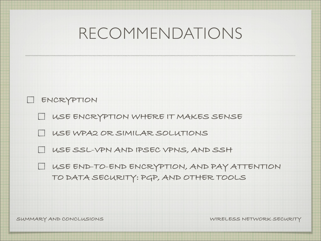| LI ENCRYPTION                                  |
|------------------------------------------------|
| L USE ENCRYPTION WHERE IT MAKES SENSE          |
| LUSE WPA2 OR SIMILAR SOLUTIONS                 |
| LI USE SSL-VPN AND IPSEC VPNS, AND SSH         |
| I USE END-TO-END ENCRYPTION, AND PAY ATTENTION |
| TO DATA SECURITY: PGP, AND OTHER TOOLS         |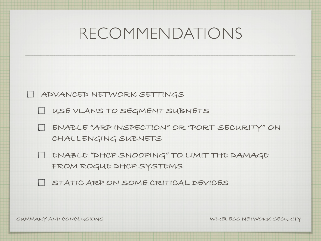

**USE VLANS TO SEGMENT SUBNETS**

**ENABLE "ARP INSPECTION" OR "PORT-SECURITY" ON CHALLENGING SUBNETS**

**ENABLE "DHCP SNOOPING" TO LIMIT THE DAMAGE FROM ROGUE DHCP SYSTEMS**

**STATIC ARP ON SOME CRITICAL DEVICES**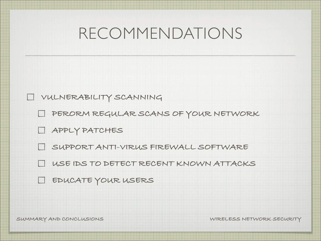**VULNERABILITY SCANNING**

**PERORM REGULAR SCANS OF YOUR NETWORK**

**APPLY PATCHES**

**SUPPORT ANTI-VIRUS FIREWALL SOFTWARE**

**USE IDS TO DETECT RECENT KNOWN ATTACKS**

**EDUCATE YOUR USERS**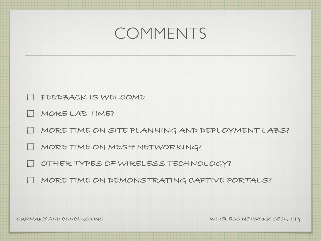#### COMMENTS

- **FEEDBACK IS WELCOME**
- **MORE LAB TIME?**
- **MORE TIME ON SITE PLANNING AND DEPLOYMENT LABS?**
- **MORE TIME ON MESH NETWORKING?**
- **OTHER TYPES OF WIRELESS TECHNOLOGY?**
- **MORE TIME ON DEMONSTRATING CAPTIVE PORTALS?**